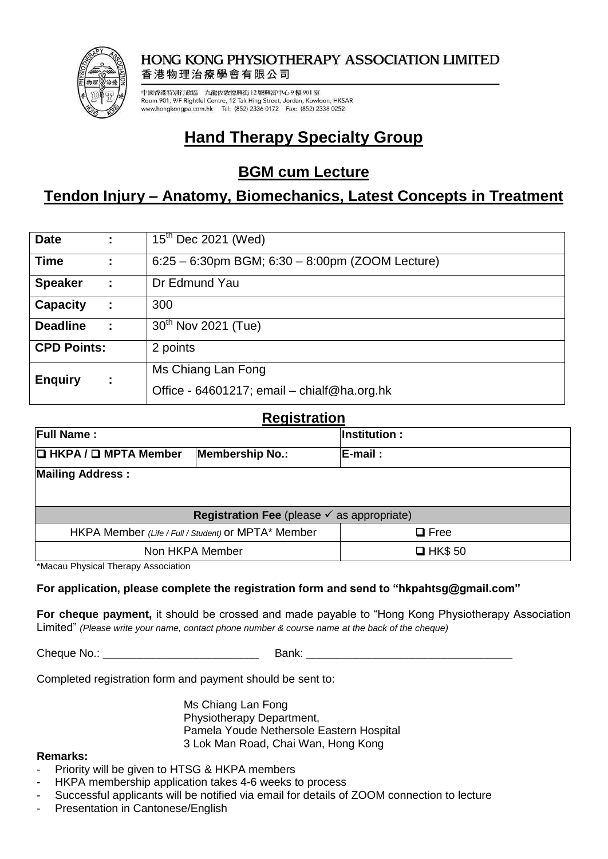

#### **HONG KONG PHYSIOTHERAPY ASSOCIATION LIMITED** 香港物理治療學會有限公司

中國香港特別行政區 九龍佐敦德興街 12 號興富中心9樓901室 Room 901, 9/F Rightful Centre, 12 Tak Hing Street, Jordan, Kowloon, HKSAR www.hongkongpa.com.hk Tel: (852) 2336 0172 Fax: (852) 2338 0252

# **Hand Therapy Specialty Group**

## **BGM cum Lecture**

## **Tendon Injury – Anatomy, Biomechanics, Latest Concepts in Treatment**

| <b>Date</b>        |   | $15^{th}$ Dec 2021 (Wed)                        |
|--------------------|---|-------------------------------------------------|
| <b>Time</b>        |   | 6:25 - 6:30pm BGM; 6:30 - 8:00pm (ZOOM Lecture) |
| <b>Speaker</b>     |   | Dr Edmund Yau                                   |
| <b>Capacity</b>    |   | 300                                             |
| <b>Deadline</b>    |   | 30 <sup>th</sup> Nov 2021 (Tue)                 |
| <b>CPD Points:</b> |   | 2 points                                        |
| <b>Enquiry</b>     | ÷ | Ms Chiang Lan Fong                              |
|                    |   | Office - 64601217; email - chialf@ha.org.hk     |

### **Registration**

| nvynou auvni                                                 |                                                     |                     |  |  |  |
|--------------------------------------------------------------|-----------------------------------------------------|---------------------|--|--|--|
| <b>Full Name :</b>                                           |                                                     | <b>Institution:</b> |  |  |  |
| $\Box$ HKPA / $\Box$ MPTA Member                             | <b>Membership No.:</b>                              | <b>IE-mail :</b>    |  |  |  |
| <b>Mailing Address:</b>                                      |                                                     |                     |  |  |  |
|                                                              |                                                     |                     |  |  |  |
| <b>Registration Fee</b> (please $\checkmark$ as appropriate) |                                                     |                     |  |  |  |
|                                                              | HKPA Member (Life / Full / Student) or MPTA* Member | $\Box$ Free         |  |  |  |
|                                                              | Non HKPA Member                                     | $\Box$ HK\$ 50      |  |  |  |

\*Macau Physical Therapy Association

### **For application, please complete the registration form and send to "hkpahtsg@gmail.com"**

**For cheque payment,** it should be crossed and made payable to "Hong Kong Physiotherapy Association Limited" *(Please write your name, contact phone number & course name at the back of the cheque)*

Cheque No.: \_\_\_\_\_\_\_\_\_\_\_\_\_\_\_\_\_\_\_\_\_\_\_\_\_ Bank: \_\_\_\_\_\_\_\_\_\_\_\_\_\_\_\_\_\_\_\_\_\_\_\_\_\_\_\_\_\_\_\_\_

Completed registration form and payment should be sent to:

Ms Chiang Lan Fong Physiotherapy Department, Pamela Youde Nethersole Eastern Hospital 3 Lok Man Road, Chai Wan, Hong Kong

#### **Remarks:**

- Priority will be given to HTSG & HKPA members
- HKPA membership application takes 4-6 weeks to process
- Successful applicants will be notified via email for details of ZOOM connection to lecture
- Presentation in Cantonese/English